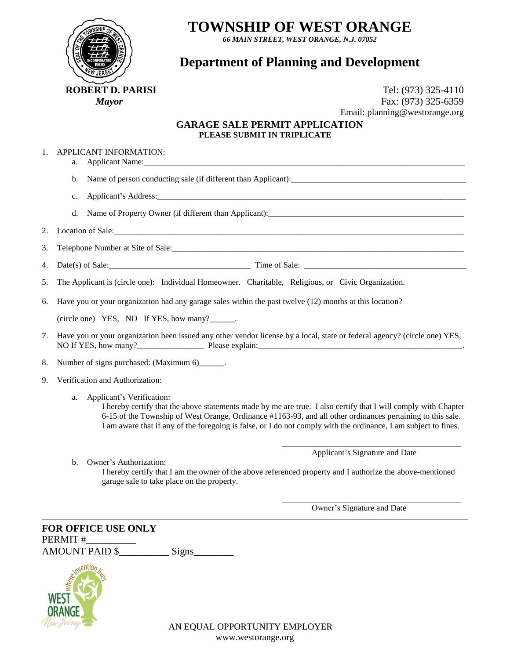

## **TOWNSHIP OF WEST ORANGE**

*66 MAIN STREET, WEST ORANGE, N.J. 07052*

## **Department of Planning and Development**

**ROBERT D. PARISI Tel:** (973) 325-4110 *Mayor* Fax: (973) 325-6359 Email: planning@westorange.org

## **GARAGE SALE PERMIT APPLICATION PLEASE SUBMIT IN TRIPLICATE**

|  | APPLICANT INFORMATION: |
|--|------------------------|
|  |                        |

a. Applicant Name:\_\_\_\_\_\_\_\_\_\_\_\_\_\_\_\_\_\_\_\_\_\_\_\_\_\_\_\_\_\_\_\_\_\_\_\_\_\_\_\_\_\_\_\_\_\_\_\_\_\_\_\_\_\_\_\_\_\_\_\_\_\_\_\_\_\_\_\_\_\_\_\_\_\_\_\_\_

b. Name of person conducting sale (if different than Applicant):\_\_\_\_\_\_\_\_\_\_\_\_\_\_\_\_\_\_\_\_\_\_\_\_\_\_\_\_\_\_\_\_\_\_\_\_\_\_\_\_\_\_

c. Applicant's Address:\_\_\_\_\_\_\_\_\_\_\_\_\_\_\_\_\_\_\_\_\_\_\_\_\_\_\_\_\_\_\_\_\_\_\_\_\_\_\_\_\_\_\_\_\_\_\_\_\_\_\_\_\_\_\_\_\_\_\_\_\_\_\_\_\_\_\_\_\_\_\_\_\_\_

d. Name of Property Owner (if different than Applicant):

2. Location of Sale:

3. Telephone Number at Site of Sale:\_\_\_\_\_\_\_\_\_\_\_\_\_\_\_\_\_\_\_\_\_\_\_\_\_\_\_\_\_\_\_\_\_\_\_\_\_\_\_\_\_\_\_\_\_\_\_\_\_\_\_\_\_\_\_\_\_\_\_\_\_\_\_\_\_\_\_\_\_\_

4. Date(s) of Sale:\_\_\_\_\_\_\_\_\_\_\_\_\_\_\_\_\_\_\_\_\_\_\_\_\_\_\_\_\_\_\_\_\_\_ Time of Sale: \_\_\_\_\_\_\_\_\_\_\_\_\_\_\_\_\_\_\_\_\_\_\_\_\_\_\_\_\_\_\_\_\_\_\_\_\_\_\_

5. The Applicant is (circle one): Individual Homeowner. Charitable, Religious, or Civic Organization.

6. Have you or your organization had any garage sales within the past twelve (12) months at this location?

(circle one) YES, NO If YES, how many?\_\_\_\_\_\_.

7. Have you or your organization been issued any other vendor license by a local, state or federal agency? (circle one) YES, NO If YES, how many?\_\_\_\_\_\_\_\_\_\_\_\_\_\_\_\_ Please explain:\_\_\_\_\_\_\_\_\_\_\_\_\_\_\_\_\_\_\_\_\_\_\_\_\_\_\_\_\_\_\_\_\_\_\_\_\_\_\_\_\_\_\_\_\_\_\_\_\_.

8. Number of signs purchased: (Maximum 6)\_\_\_\_\_\_.

- 9. Verification and Authorization:
	- a. Applicant's Verification:

I hereby certify that the above statements made by me are true. I also certify that I will comply with Chapter 6-15 of the Township of West Orange, Ordinance #1163-93, and all other ordinances pertaining to this sale. I am aware that if any of the foregoing is false, or I do not comply with the ordinance, I am subject to fines.

> \_\_\_\_\_\_\_\_\_\_\_\_\_\_\_\_\_\_\_\_\_\_\_\_\_\_\_\_\_\_\_\_\_\_\_\_\_\_\_\_\_\_\_ Applicant's Signature and Date

b. Owner's Authorization:

I hereby certify that I am the owner of the above referenced property and I authorize the above-mentioned garage sale to take place on the property.

Owner's Signature and Date

\_\_\_\_\_\_\_\_\_\_\_\_\_\_\_\_\_\_\_\_\_\_\_\_\_\_\_\_\_\_\_\_\_\_\_\_\_\_\_\_\_\_\_

**FOR OFFICE USE ONLY** PERMIT # AMOUNT PAID \$ Signs

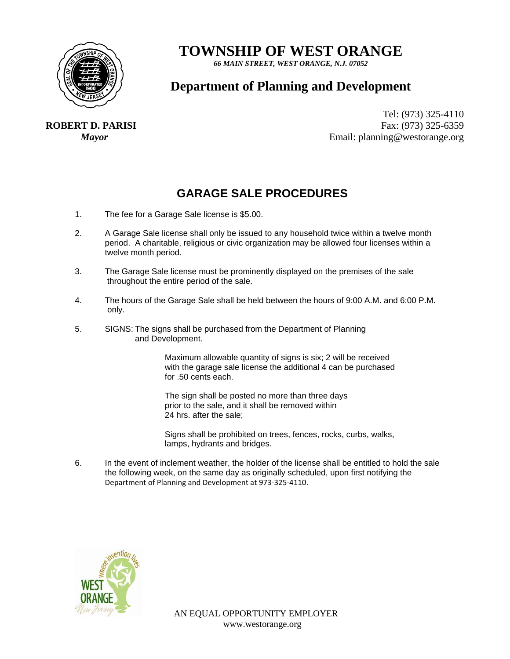

# **TOWNSHIP OF WEST ORANGE**

*66 MAIN STREET, WEST ORANGE, N.J. 07052* 

## **Department of Planning and Development**

**ROBERT D. PARISI**

Tel: (973) 325-4110 Fax: (973) 325-6359 *Mayor* Email: planning@westorange.org

## **GARAGE SALE PROCEDURES**

- 1. The fee for a Garage Sale license is \$5.00.
- 2. A Garage Sale license shall only be issued to any household twice within a twelve month period. A charitable, religious or civic organization may be allowed four licenses within a twelve month period.
- 3. The Garage Sale license must be prominently displayed on the premises of the sale throughout the entire period of the sale.
- 4. The hours of the Garage Sale shall be held between the hours of 9:00 A.M. and 6:00 P.M. only.
- 5. SIGNS: The signs shall be purchased from the Department of Planning and Development.

Maximum allowable quantity of signs is six; 2 will be received with the garage sale license the additional 4 can be purchased for .50 cents each.

The sign shall be posted no more than three days prior to the sale, and it shall be removed within 24 hrs. after the sale;

Signs shall be prohibited on trees, fences, rocks, curbs, walks, lamps, hydrants and bridges.

6. In the event of inclement weather, the holder of the license shall be entitled to hold the sale the following week, on the same day as originally scheduled, upon first notifying the Department of Planning and Development at 973‐325‐4110.

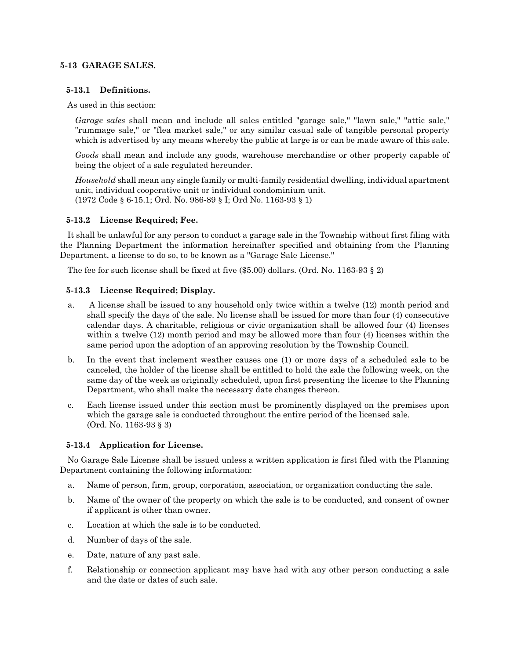### **5-13 GARAGE SALES.**

#### **5-13.1 Definitions.**

As used in this section:

*Garage sales* shall mean and include all sales entitled "garage sale," "lawn sale," "attic sale," "rummage sale," or "flea market sale," or any similar casual sale of tangible personal property which is advertised by any means whereby the public at large is or can be made aware of this sale.

*Goods* shall mean and include any goods, warehouse merchandise or other property capable of being the object of a sale regulated hereunder.

*Household* shall mean any single family or multi-family residential dwelling, individual apartment unit, individual cooperative unit or individual condominium unit. (1972 Code § 6-15.1; Ord. No. 986-89 § I; Ord No. 1163-93 § 1)

### **5-13.2 License Required; Fee.**

It shall be unlawful for any person to conduct a garage sale in the Township without first filing with the Planning Department the information hereinafter specified and obtaining from the Planning Department, a license to do so, to be known as a "Garage Sale License."

The fee for such license shall be fixed at five (\$5.00) dollars. (Ord. No. 1163-93 § 2)

### **5-13.3 License Required; Display.**

- a. A license shall be issued to any household only twice within a twelve (12) month period and shall specify the days of the sale. No license shall be issued for more than four (4) consecutive calendar days. A charitable, religious or civic organization shall be allowed four (4) licenses within a twelve (12) month period and may be allowed more than four (4) licenses within the same period upon the adoption of an approving resolution by the Township Council.
- b. In the event that inclement weather causes one (1) or more days of a scheduled sale to be canceled, the holder of the license shall be entitled to hold the sale the following week, on the same day of the week as originally scheduled, upon first presenting the license to the Planning Department, who shall make the necessary date changes thereon.
- c. Each license issued under this section must be prominently displayed on the premises upon which the garage sale is conducted throughout the entire period of the licensed sale. (Ord. No. 1163-93 § 3)

### **5-13.4 Application for License.**

No Garage Sale License shall be issued unless a written application is first filed with the Planning Department containing the following information:

- a. Name of person, firm, group, corporation, association, or organization conducting the sale.
- b. Name of the owner of the property on which the sale is to be conducted, and consent of owner if applicant is other than owner.
- c. Location at which the sale is to be conducted.
- d. Number of days of the sale.
- e. Date, nature of any past sale.
- f. Relationship or connection applicant may have had with any other person conducting a sale and the date or dates of such sale.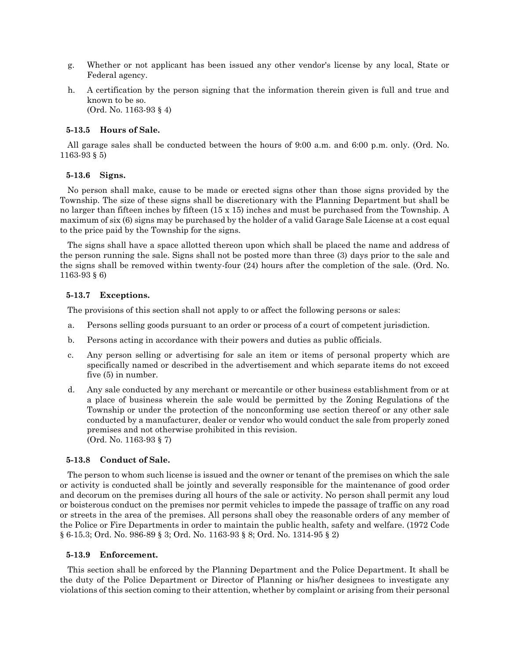- g. Whether or not applicant has been issued any other vendor's license by any local, State or Federal agency.
- h. A certification by the person signing that the information therein given is full and true and known to be so. (Ord. No. 1163-93 § 4)

#### **5-13.5 Hours of Sale.**

All garage sales shall be conducted between the hours of 9:00 a.m. and 6:00 p.m. only. (Ord. No. 1163-93 § 5)

#### **5-13.6 Signs.**

No person shall make, cause to be made or erected signs other than those signs provided by the Township. The size of these signs shall be discretionary with the Planning Department but shall be no larger than fifteen inches by fifteen (15 x 15) inches and must be purchased from the Township. A maximum of six (6) signs may be purchased by the holder of a valid Garage Sale License at a cost equal to the price paid by the Township for the signs.

The signs shall have a space allotted thereon upon which shall be placed the name and address of the person running the sale. Signs shall not be posted more than three (3) days prior to the sale and the signs shall be removed within twenty-four (24) hours after the completion of the sale. (Ord. No. 1163-93 § 6)

#### **5-13.7 Exceptions.**

The provisions of this section shall not apply to or affect the following persons or sales:

- a. Persons selling goods pursuant to an order or process of a court of competent jurisdiction.
- b. Persons acting in accordance with their powers and duties as public officials.
- c. Any person selling or advertising for sale an item or items of personal property which are specifically named or described in the advertisement and which separate items do not exceed five (5) in number.
- d. Any sale conducted by any merchant or mercantile or other business establishment from or at a place of business wherein the sale would be permitted by the Zoning Regulations of the Township or under the protection of the nonconforming use section thereof or any other sale conducted by a manufacturer, dealer or vendor who would conduct the sale from properly zoned premises and not otherwise prohibited in this revision. (Ord. No. 1163-93 § 7)

#### **5-13.8 Conduct of Sale.**

The person to whom such license is issued and the owner or tenant of the premises on which the sale or activity is conducted shall be jointly and severally responsible for the maintenance of good order and decorum on the premises during all hours of the sale or activity. No person shall permit any loud or boisterous conduct on the premises nor permit vehicles to impede the passage of traffic on any road or streets in the area of the premises. All persons shall obey the reasonable orders of any member of the Police or Fire Departments in order to maintain the public health, safety and welfare. (1972 Code § 6-15.3; Ord. No. 986-89 § 3; Ord. No. 1163-93 § 8; Ord. No. 1314-95 § 2)

#### **5-13.9 Enforcement.**

This section shall be enforced by the Planning Department and the Police Department. It shall be the duty of the Police Department or Director of Planning or his/her designees to investigate any violations of this section coming to their attention, whether by complaint or arising from their personal